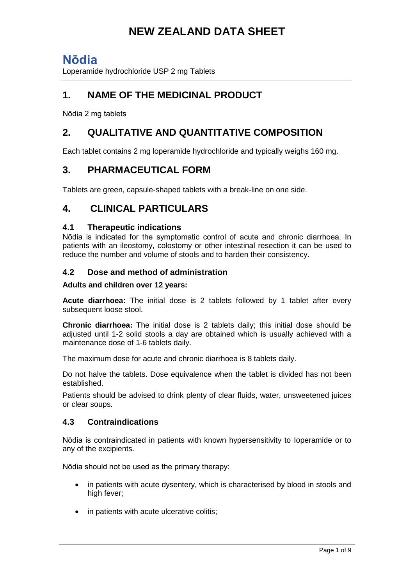## **Nōdia**

Loperamide hydrochloride USP 2 mg Tablets

## **1. NAME OF THE MEDICINAL PRODUCT**

Nōdia 2 mg tablets

## **2. QUALITATIVE AND QUANTITATIVE COMPOSITION**

Each tablet contains 2 mg loperamide hydrochloride and typically weighs 160 mg.

## **3. PHARMACEUTICAL FORM**

Tablets are green, capsule-shaped tablets with a break-line on one side.

### **4. CLINICAL PARTICULARS**

### **4.1 Therapeutic indications**

Nōdia is indicated for the symptomatic control of acute and chronic diarrhoea. In patients with an ileostomy, colostomy or other intestinal resection it can be used to reduce the number and volume of stools and to harden their consistency.

### **4.2 Dose and method of administration**

#### **Adults and children over 12 years:**

**Acute diarrhoea:** The initial dose is 2 tablets followed by 1 tablet after every subsequent loose stool.

**Chronic diarrhoea:** The initial dose is 2 tablets daily; this initial dose should be adjusted until 1-2 solid stools a day are obtained which is usually achieved with a maintenance dose of 1-6 tablets daily.

The maximum dose for acute and chronic diarrhoea is 8 tablets daily.

Do not halve the tablets. Dose equivalence when the tablet is divided has not been established.

Patients should be advised to drink plenty of clear fluids, water, unsweetened juices or clear soups.

### **4.3 Contraindications**

Nōdia is contraindicated in patients with known hypersensitivity to Ioperamide or to any of the excipients.

Nōdia should not be used as the primary therapy:

- in patients with acute dysentery, which is characterised by blood in stools and high fever:
- in patients with acute ulcerative colitis;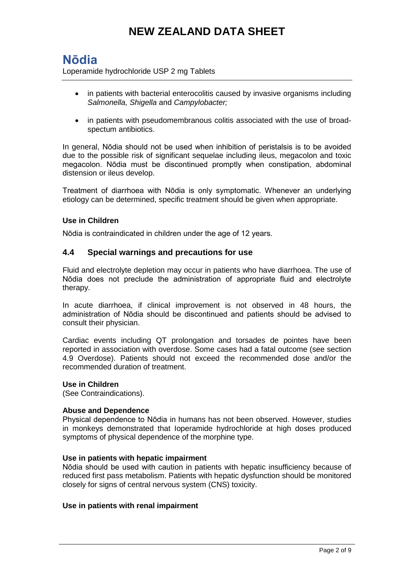# **Nōdia**

Loperamide hydrochloride USP 2 mg Tablets

- in patients with bacterial enterocolitis caused by invasive organisms including *Salmonella, Shigella* and *Campylobacter;*
- in patients with pseudomembranous colitis associated with the use of broadspectum antibiotics.

In general, Nōdia should not be used when inhibition of peristalsis is to be avoided due to the possible risk of significant sequelae including ileus, megacolon and toxic megacolon. Nōdia must be discontinued promptly when constipation, abdominal distension or ileus develop.

Treatment of diarrhoea with Nōdia is only symptomatic. Whenever an underlying etiology can be determined, specific treatment should be given when appropriate.

#### **Use in Children**

Nōdia is contraindicated in children under the age of 12 years.

#### **4.4 Special warnings and precautions for use**

Fluid and electrolyte depletion may occur in patients who have diarrhoea. The use of Nōdia does not preclude the administration of appropriate fluid and electrolyte therapy.

In acute diarrhoea, if clinical improvement is not observed in 48 hours, the administration of Nōdia should be discontinued and patients should be advised to consult their physician.

Cardiac events including QT prolongation and torsades de pointes have been reported in association with overdose. Some cases had a fatal outcome (see section 4.9 Overdose). Patients should not exceed the recommended dose and/or the recommended duration of treatment.

#### **Use in Children**

(See Contraindications).

#### **Abuse and Dependence**

Physical dependence to Nōdia in humans has not been observed. However, studies in monkeys demonstrated that Ioperamide hydrochloride at high doses produced symptoms of physical dependence of the morphine type.

#### **Use in patients with hepatic impairment**

Nōdia should be used with caution in patients with hepatic insufficiency because of reduced first pass metabolism. Patients with hepatic dysfunction should be monitored closely for signs of central nervous system (CNS) toxicity.

#### **Use in patients with renal impairment**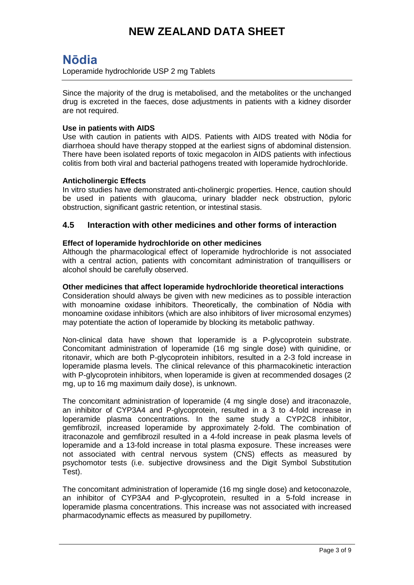## **Nōdia**

Loperamide hydrochloride USP 2 mg Tablets

Since the majority of the drug is metabolised, and the metabolites or the unchanged drug is excreted in the faeces, dose adjustments in patients with a kidney disorder are not required.

#### **Use in patients with AIDS**

Use with caution in patients with AIDS. Patients with AIDS treated with Nōdia for diarrhoea should have therapy stopped at the earliest signs of abdominal distension. There have been isolated reports of toxic megacolon in AIDS patients with infectious colitis from both viral and bacterial pathogens treated with loperamide hydrochloride.

#### **Anticholinergic Effects**

In vitro studies have demonstrated anti-cholinergic properties. Hence, caution should be used in patients with glaucoma, urinary bladder neck obstruction, pyloric obstruction, significant gastric retention, or intestinal stasis.

### **4.5 Interaction with other medicines and other forms of interaction**

#### **Effect of loperamide hydrochloride on other medicines**

Although the pharmacological effect of Ioperamide hydrochloride is not associated with a central action, patients with concomitant administration of tranquillisers or alcohol should be carefully observed.

#### **Other medicines that affect loperamide hydrochloride theoretical interactions**

Consideration should always be given with new medicines as to possible interaction with monoamine oxidase inhibitors. Theoretically, the combination of Nōdia with monoamine oxidase inhibitors (which are also inhibitors of liver microsomal enzymes) may potentiate the action of Ioperamide by blocking its metabolic pathway.

Non-clinical data have shown that loperamide is a P-glycoprotein substrate. Concomitant administration of loperamide (16 mg single dose) with quinidine, or ritonavir, which are both P-glycoprotein inhibitors, resulted in a 2-3 fold increase in loperamide plasma levels. The clinical relevance of this pharmacokinetic interaction with P-glycoprotein inhibitors, when loperamide is given at recommended dosages (2 mg, up to 16 mg maximum daily dose), is unknown.

The concomitant administration of loperamide (4 mg single dose) and itraconazole, an inhibitor of CYP3A4 and P-glycoprotein, resulted in a 3 to 4-fold increase in loperamide plasma concentrations. In the same study a CYP2C8 inhibitor, gemfibrozil, increased loperamide by approximately 2-fold. The combination of itraconazole and gemfibrozil resulted in a 4-fold increase in peak plasma levels of loperamide and a 13-fold increase in total plasma exposure. These increases were not associated with central nervous system (CNS) effects as measured by psychomotor tests (i.e. subjective drowsiness and the Digit Symbol Substitution Test).

The concomitant administration of loperamide (16 mg single dose) and ketoconazole, an inhibitor of CYP3A4 and P-glycoprotein, resulted in a 5-fold increase in loperamide plasma concentrations. This increase was not associated with increased pharmacodynamic effects as measured by pupillometry.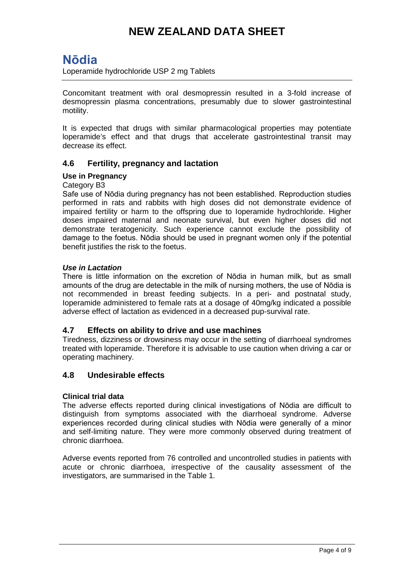# **Nōdia**

Loperamide hydrochloride USP 2 mg Tablets

Concomitant treatment with oral desmopressin resulted in a 3-fold increase of desmopressin plasma concentrations, presumably due to slower gastrointestinal motility.

It is expected that drugs with similar pharmacological properties may potentiate loperamide's effect and that drugs that accelerate gastrointestinal transit may decrease its effect.

### **4.6 Fertility, pregnancy and lactation**

#### **Use in Pregnancy**

#### Category B3

Safe use of Nōdia during pregnancy has not been established. Reproduction studies performed in rats and rabbits with high doses did not demonstrate evidence of impaired fertility or harm to the offspring due to Ioperamide hydrochloride. Higher doses impaired maternal and neonate survival, but even higher doses did not demonstrate teratogenicity. Such experience cannot exclude the possibility of damage to the foetus. Nōdia should be used in pregnant women only if the potential benefit justifies the risk to the foetus.

#### *Use in Lactation*

There is little information on the excretion of Nōdia in human milk, but as small amounts of the drug are detectable in the milk of nursing mothers, the use of Nōdia is not recommended in breast feeding subjects. In a peri- and postnatal study, Ioperamide administered to female rats at a dosage of 40mg/kg indicated a possible adverse effect of lactation as evidenced in a decreased pup-survival rate.

#### **4.7 Effects on ability to drive and use machines**

Tiredness, dizziness or drowsiness may occur in the setting of diarrhoeal syndromes treated with loperamide. Therefore it is advisable to use caution when driving a car or operating machinery.

#### **4.8 Undesirable effects**

#### **Clinical trial data**

The adverse effects reported during clinical investigations of Nōdia are difficult to distinguish from symptoms associated with the diarrhoeal syndrome. Adverse experiences recorded during clinical studies with Nōdia were generally of a minor and self-limiting nature. They were more commonly observed during treatment of chronic diarrhoea.

Adverse events reported from 76 controlled and uncontrolled studies in patients with acute or chronic diarrhoea, irrespective of the causality assessment of the investigators, are summarised in the Table 1.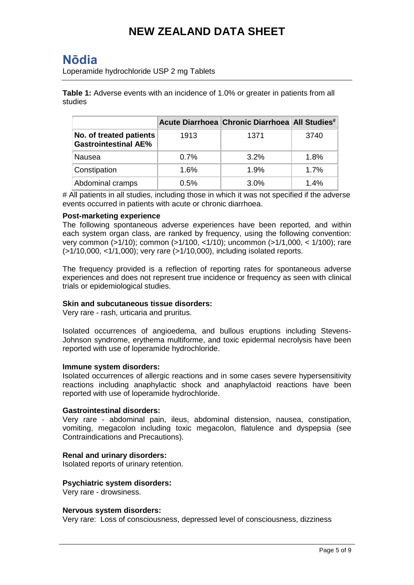## **Nōdia**

Loperamide hydrochloride USP 2 mg Tablets

**Table 1:** Adverse events with an incidence of 1.0% or greater in patients from all studies

|                                                        |      | Acute Diarrhoea Chronic Diarrhoea All Studies <sup>#</sup> |      |
|--------------------------------------------------------|------|------------------------------------------------------------|------|
| No. of treated patients<br><b>Gastrointestinal AE%</b> | 1913 | 1371                                                       | 3740 |
| Nausea                                                 | 0.7% | $3.2\%$                                                    | 1.8% |
| Constipation                                           | 1.6% | 1.9%                                                       | 1.7% |
| Abdominal cramps                                       | 0.5% | 3.0%                                                       | 1.4% |

# All patients in all studies, including those in which it was not specified if the adverse events occurred in patients with acute or chronic diarrhoea.

#### **Post-marketing experience**

The following spontaneous adverse experiences have been reported, and within each system organ class, are ranked by frequency, using the following convention: very common (>1/10); common (>1/100, <1/10); uncommon (>1/1,000, < 1/100); rare (>1/10,000, <1/1,000); very rare (>1/10,000), including isolated reports.

The frequency provided is a reflection of reporting rates for spontaneous adverse experiences and does not represent true incidence or frequency as seen with clinical trials or epidemiological studies.

#### **Skin and subcutaneous tissue disorders:**

Very rare - rash, urticaria and pruritus.

Isolated occurrences of angioedema, and bullous eruptions including Stevens-Johnson syndrome, erythema multiforme, and toxic epidermal necrolysis have been reported with use of loperamide hydrochloride.

#### **Immune system disorders:**

Isolated occurrences of allergic reactions and in some cases severe hypersensitivity reactions including anaphylactic shock and anaphylactoid reactions have been reported with use of loperamide hydrochloride.

#### **Gastrointestinal disorders:**

Very rare - abdominal pain, ileus, abdominal distension, nausea, constipation, vomiting, megacolon including toxic megacolon, flatulence and dyspepsia (see Contraindications and Precautions).

#### **Renal and urinary disorders:**

Isolated reports of urinary retention.

#### **Psychiatric system disorders:**

Very rare - drowsiness.

#### **Nervous system disorders:**

Very rare: Loss of consciousness, depressed level of consciousness, dizziness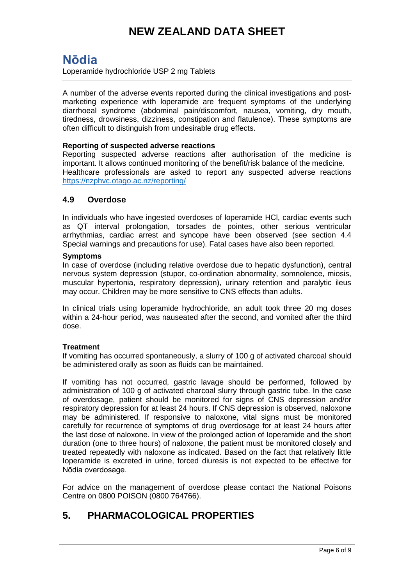## **Nōdia**

Loperamide hydrochloride USP 2 mg Tablets

A number of the adverse events reported during the clinical investigations and postmarketing experience with loperamide are frequent symptoms of the underlying diarrhoeal syndrome (abdominal pain/discomfort, nausea, vomiting, dry mouth, tiredness, drowsiness, dizziness, constipation and flatulence). These symptoms are often difficult to distinguish from undesirable drug effects.

#### **Reporting of suspected adverse reactions**

Reporting suspected adverse reactions after authorisation of the medicine is important. It allows continued monitoring of the benefit/risk balance of the medicine. Healthcare professionals are asked to report any suspected adverse reactions <https://nzphvc.otago.ac.nz/reporting/>

#### **4.9 Overdose**

In individuals who have ingested overdoses of loperamide HCl, cardiac events such as QT interval prolongation, torsades de pointes, other serious ventricular arrhythmias, cardiac arrest and syncope have been observed (see section 4.4 Special warnings and precautions for use). Fatal cases have also been reported.

#### **Symptoms**

In case of overdose (including relative overdose due to hepatic dysfunction), central nervous system depression (stupor, co-ordination abnormality, somnolence, miosis, muscular hypertonia, respiratory depression), urinary retention and paralytic ileus may occur. Children may be more sensitive to CNS effects than adults.

In clinical trials using loperamide hydrochloride, an adult took three 20 mg doses within a 24-hour period, was nauseated after the second, and vomited after the third dose.

#### **Treatment**

If vomiting has occurred spontaneously, a slurry of 100 g of activated charcoal should be administered orally as soon as fluids can be maintained.

If vomiting has not occurred, gastric lavage should be performed, followed by administration of 100 g of activated charcoal slurry through gastric tube. In the case of overdosage, patient should be monitored for signs of CNS depression and/or respiratory depression for at least 24 hours. If CNS depression is observed, naloxone may be administered. If responsive to naloxone, vital signs must be monitored carefully for recurrence of symptoms of drug overdosage for at least 24 hours after the last dose of naloxone. In view of the prolonged action of Ioperamide and the short duration (one to three hours) of naloxone, the patient must be monitored closely and treated repeatedly with naloxone as indicated. Based on the fact that relatively little Ioperamide is excreted in urine, forced diuresis is not expected to be effective for Nōdia overdosage.

For advice on the management of overdose please contact the National Poisons Centre on 0800 POISON (0800 764766).

## **5. PHARMACOLOGICAL PROPERTIES**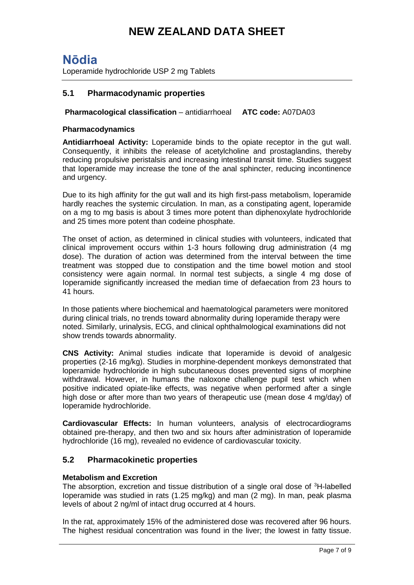## **Nōdia**

Loperamide hydrochloride USP 2 mg Tablets

### **5.1 Pharmacodynamic properties**

#### **Pharmacological classification** – antidiarrhoeal **ATC code:** A07DA03

#### **Pharmacodynamics**

**Antidiarrhoeal Activity:** Loperamide binds to the opiate receptor in the gut wall. Consequently, it inhibits the release of acetylcholine and prostaglandins, thereby reducing propulsive peristalsis and increasing intestinal transit time. Studies suggest that loperamide may increase the tone of the anal sphincter, reducing incontinence and urgency.

Due to its high affinity for the gut wall and its high first-pass metabolism, loperamide hardly reaches the systemic circulation. In man, as a constipating agent, loperamide on a mg to mg basis is about 3 times more potent than diphenoxylate hydrochloride and 25 times more potent than codeine phosphate.

The onset of action, as determined in clinical studies with volunteers, indicated that clinical improvement occurs within 1-3 hours following drug administration (4 mg dose). The duration of action was determined from the interval between the time treatment was stopped due to constipation and the time bowel motion and stool consistency were again normal. In normal test subjects, a single 4 mg dose of Ioperamide significantly increased the median time of defaecation from 23 hours to 41 hours.

In those patients where biochemical and haematological parameters were monitored during clinical trials, no trends toward abnormality during Ioperamide therapy were noted. Similarly, urinalysis, ECG, and clinical ophthalmological examinations did not show trends towards abnormality.

**CNS Activity:** Animal studies indicate that Ioperamide is devoid of analgesic properties (2-16 mg/kg). Studies in morphine-dependent monkeys demonstrated that loperamide hydrochloride in high subcutaneous doses prevented signs of morphine withdrawal. However, in humans the naloxone challenge pupil test which when positive indicated opiate-like effects, was negative when performed after a single high dose or after more than two years of therapeutic use (mean dose 4 mg/day) of Ioperamide hydrochloride.

**Cardiovascular Effects:** In human volunteers, analysis of electrocardiograms obtained pre-therapy, and then two and six hours after administration of Ioperamide hydrochloride (16 mg), revealed no evidence of cardiovascular toxicity.

#### **5.2 Pharmacokinetic properties**

#### **Metabolism and Excretion**

The absorption, excretion and tissue distribution of a single oral dose of <sup>3</sup>H-labelled Ioperamide was studied in rats (1.25 mg/kg) and man (2 mg). In man, peak plasma levels of about 2 ng/ml of intact drug occurred at 4 hours.

In the rat, approximately 15% of the administered dose was recovered after 96 hours. The highest residual concentration was found in the liver; the lowest in fatty tissue.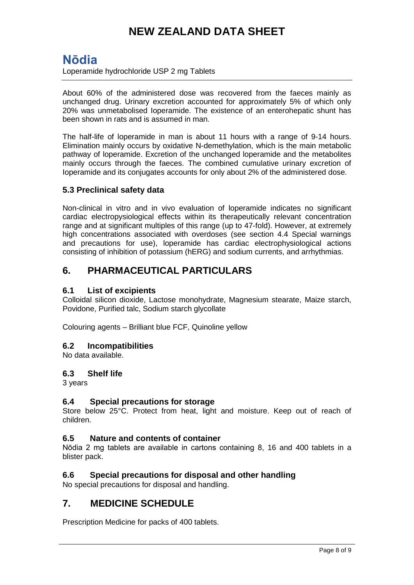## **Nōdia**

Loperamide hydrochloride USP 2 mg Tablets

About 60% of the administered dose was recovered from the faeces mainly as unchanged drug. Urinary excretion accounted for approximately 5% of which only 20% was unmetabolised Ioperamide. The existence of an enterohepatic shunt has been shown in rats and is assumed in man.

The half-life of loperamide in man is about 11 hours with a range of 9-14 hours. Elimination mainly occurs by oxidative N-demethylation, which is the main metabolic pathway of loperamide. Excretion of the unchanged loperamide and the metabolites mainly occurs through the faeces. The combined cumulative urinary excretion of Ioperamide and its conjugates accounts for only about 2% of the administered dose.

### **5.3 Preclinical safety data**

Non-clinical in vitro and in vivo evaluation of loperamide indicates no significant cardiac electropysiological effects within its therapeutically relevant concentration range and at significant multiples of this range (up to 47-fold). However, at extremely high concentrations associated with overdoses (see section 4.4 Special warnings and precautions for use), loperamide has cardiac electrophysiological actions consisting of inhibition of potassium (hERG) and sodium currents, and arrhythmias.

## **6. PHARMACEUTICAL PARTICULARS**

### **6.1 List of excipients**

Colloidal silicon dioxide, Lactose monohydrate, Magnesium stearate, Maize starch, Povidone, Purified talc, Sodium starch glycollate

Colouring agents – Brilliant blue FCF, Quinoline yellow

#### **6.2 Incompatibilities**

No data available.

#### **6.3 Shelf life**

3 years

#### **6.4 Special precautions for storage**

Store below 25°C. Protect from heat, light and moisture. Keep out of reach of children.

### **6.5 Nature and contents of container**

Nōdia 2 mg tablets are available in cartons containing 8, 16 and 400 tablets in a blister pack.

### **6.6 Special precautions for disposal and other handling**

No special precautions for disposal and handling.

### **7. MEDICINE SCHEDULE**

Prescription Medicine for packs of 400 tablets.